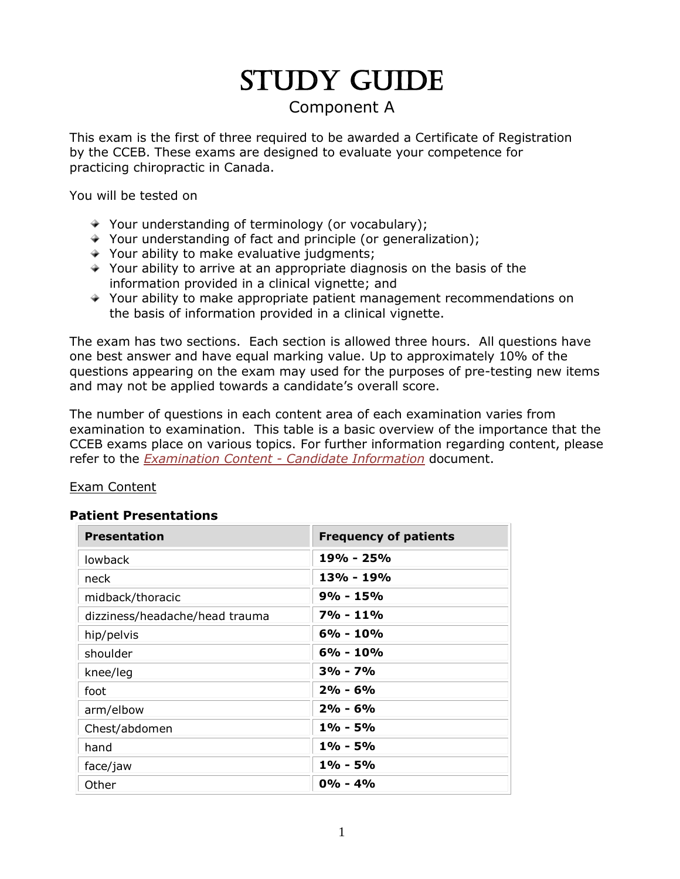# STUDY GUIDE

# Component A

This exam is the first of three required to be awarded a Certificate of Registration by the CCEB. These exams are designed to evaluate your competence for practicing chiropractic in Canada.

You will be tested on

- $\rightarrow$  Your understanding of terminology (or vocabulary);
- Your understanding of fact and principle (or generalization);
- $\rightarrow$  Your ability to make evaluative judgments;
- $\rightarrow$  Your ability to arrive at an appropriate diagnosis on the basis of the information provided in a clinical vignette; and
- Your ability to make appropriate patient management recommendations on the basis of information provided in a clinical vignette.

The exam has two sections. Each section is allowed three hours. All questions have one best answer and have equal marking value. Up to approximately 10% of the questions appearing on the exam may used for the purposes of pre-testing new items and may not be applied towards a candidate's overall score.

The number of questions in each content area of each examination varies from examination to examination. This table is a basic overview of the importance that the CCEB exams place on various topics. For further information regarding content, please refer to the *Examination Content - Candidate Information* document.

## Exam Content

#### **Patient Presentations**

| <b>Presentation</b>            | <b>Frequency of patients</b> |  |
|--------------------------------|------------------------------|--|
| lowback                        | 19% - 25%                    |  |
| neck                           | 13% - 19%                    |  |
| midback/thoracic               | $9% - 15%$                   |  |
| dizziness/headache/head trauma | $7% - 11%$                   |  |
| hip/pelvis                     | $6\% - 10\%$                 |  |
| shoulder                       | $6\% - 10\%$                 |  |
| knee/leg                       | $3\% - 7\%$                  |  |
| foot                           | $2\% - 6\%$                  |  |
| arm/elbow                      | $2\% - 6\%$                  |  |
| Chest/abdomen                  | $1\% - 5\%$                  |  |
| hand                           | 1% - 5%                      |  |
| face/jaw                       | 1% - 5%                      |  |
| Other                          | $0\% - 4\%$                  |  |